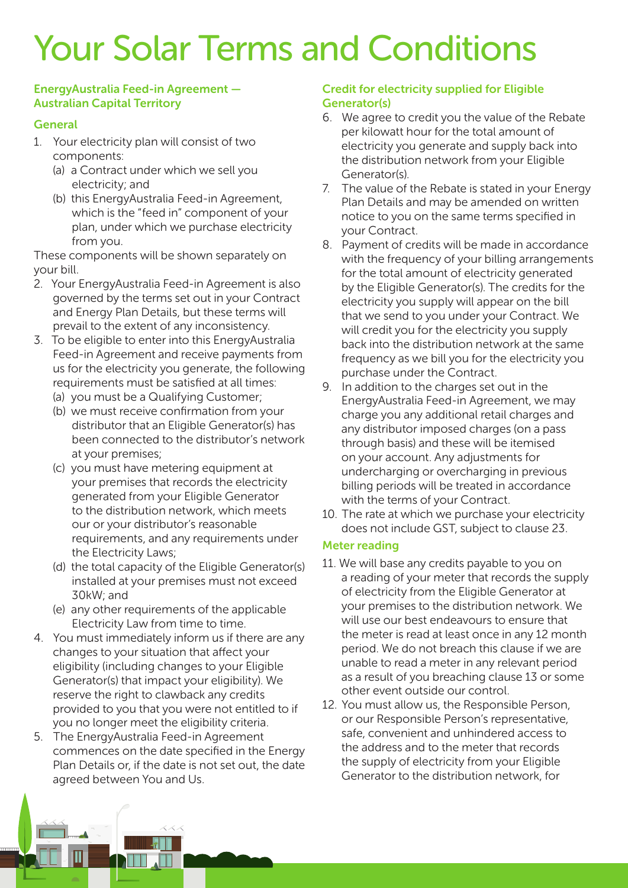# Your Solar Terms and Conditions

### EnergyAustralia Feed-in Agreement — Australian Capital Territory

# **General**

- 1. Your electricity plan will consist of two components:
	- (a) a Contract under which we sell you electricity; and
	- (b) this EnergyAustralia Feed-in Agreement, which is the "feed in" component of your plan, under which we purchase electricity from you.

These components will be shown separately on your bill.

- 2. Your EnergyAustralia Feed-in Agreement is also governed by the terms set out in your Contract and Energy Plan Details, but these terms will prevail to the extent of any inconsistency.
- 3. To be eligible to enter into this EnergyAustralia Feed-in Agreement and receive payments from us for the electricity you generate, the following requirements must be satisfied at all times:
	- (a) you must be a Qualifying Customer;
	- (b) we must receive confirmation from your distributor that an Eligible Generator(s) has been connected to the distributor's network at your premises;
	- (c) you must have metering equipment at your premises that records the electricity generated from your Eligible Generator to the distribution network, which meets our or your distributor's reasonable requirements, and any requirements under the Electricity Laws;
	- (d) the total capacity of the Eligible Generator(s) installed at your premises must not exceed 30kW; and
	- (e) any other requirements of the applicable Electricity Law from time to time.
- 4. You must immediately inform us if there are any changes to your situation that affect your eligibility (including changes to your Eligible Generator(s) that impact your eligibility). We reserve the right to clawback any credits provided to you that you were not entitled to if you no longer meet the eligibility criteria.
- 5. The EnergyAustralia Feed-in Agreement commences on the date specified in the Energy Plan Details or, if the date is not set out, the date agreed between You and Us.

## Credit for electricity supplied for Eligible Generator(s)

- 6. We agree to credit you the value of the Rebate per kilowatt hour for the total amount of electricity you generate and supply back into the distribution network from your Eligible Generator(s).
- 7. The value of the Rebate is stated in your Energy Plan Details and may be amended on written notice to you on the same terms specified in your Contract.
- 8. Payment of credits will be made in accordance with the frequency of your billing arrangements for the total amount of electricity generated by the Eligible Generator(s). The credits for the electricity you supply will appear on the bill that we send to you under your Contract. We will credit you for the electricity you supply back into the distribution network at the same frequency as we bill you for the electricity you purchase under the Contract.
- 9. In addition to the charges set out in the EnergyAustralia Feed-in Agreement, we may charge you any additional retail charges and any distributor imposed charges (on a pass through basis) and these will be itemised on your account. Any adjustments for undercharging or overcharging in previous billing periods will be treated in accordance with the terms of your Contract.
- 10. The rate at which we purchase your electricity does not include GST, subject to clause 23.

### Meter reading

- 11. We will base any credits payable to you on a reading of your meter that records the supply of electricity from the Eligible Generator at your premises to the distribution network. We will use our best endeavours to ensure that the meter is read at least once in any 12 month period. We do not breach this clause if we are unable to read a meter in any relevant period as a result of you breaching clause 13 or some other event outside our control.
- 12. You must allow us, the Responsible Person, or our Responsible Person's representative, safe, convenient and unhindered access to the address and to the meter that records the supply of electricity from your Eligible Generator to the distribution network, for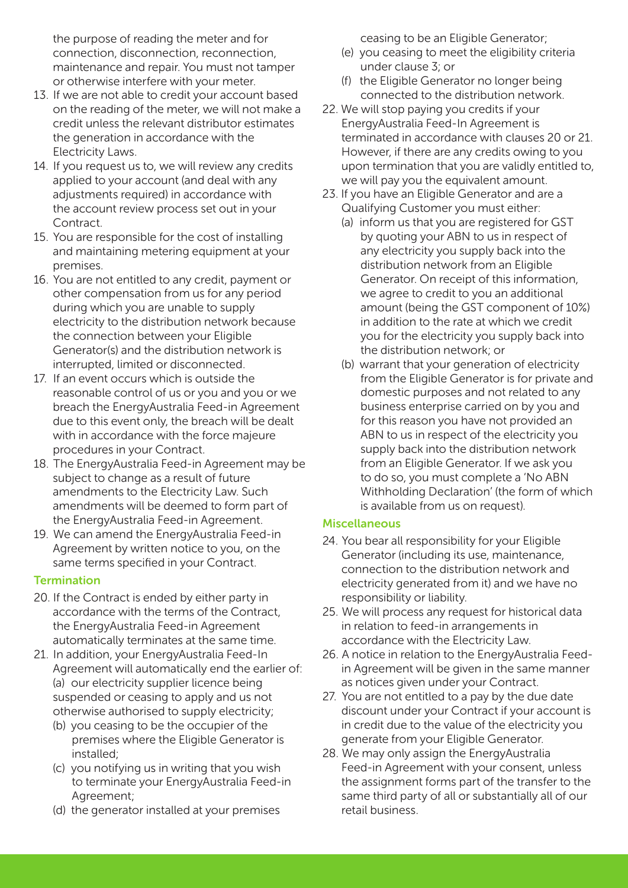the purpose of reading the meter and for connection, disconnection, reconnection, maintenance and repair. You must not tamper or otherwise interfere with your meter.

- 13. If we are not able to credit your account based on the reading of the meter, we will not make a credit unless the relevant distributor estimates the generation in accordance with the Electricity Laws.
- 14. If you request us to, we will review any credits applied to your account (and deal with any adjustments required) in accordance with the account review process set out in your Contract.
- 15. You are responsible for the cost of installing and maintaining metering equipment at your premises.
- 16. You are not entitled to any credit, payment or other compensation from us for any period during which you are unable to supply electricity to the distribution network because the connection between your Eligible Generator(s) and the distribution network is interrupted, limited or disconnected.
- 17. If an event occurs which is outside the reasonable control of us or you and you or we breach the EnergyAustralia Feed-in Agreement due to this event only, the breach will be dealt with in accordance with the force majeure procedures in your Contract.
- 18. The EnergyAustralia Feed-in Agreement may be subject to change as a result of future amendments to the Electricity Law. Such amendments will be deemed to form part of the EnergyAustralia Feed-in Agreement.
- 19. We can amend the EnergyAustralia Feed-in Agreement by written notice to you, on the same terms specified in your Contract.

### **Termination**

- 20. If the Contract is ended by either party in accordance with the terms of the Contract, the EnergyAustralia Feed-in Agreement automatically terminates at the same time.
- 21. In addition, your EnergyAustralia Feed-In Agreement will automatically end the earlier of: (a) our electricity supplier licence being suspended or ceasing to apply and us not otherwise authorised to supply electricity;
	- (b) you ceasing to be the occupier of the premises where the Eligible Generator is installed;
	- (c) you notifying us in writing that you wish to terminate your EnergyAustralia Feed-in Agreement;
	- (d) the generator installed at your premises

ceasing to be an Eligible Generator;

- (e) you ceasing to meet the eligibility criteria under clause 3; or
- (f) the Eligible Generator no longer being connected to the distribution network.
- 22. We will stop paying you credits if your EnergyAustralia Feed-In Agreement is terminated in accordance with clauses 20 or 21. However, if there are any credits owing to you upon termination that you are validly entitled to, we will pay you the equivalent amount.
- 23. If you have an Eligible Generator and are a Qualifying Customer you must either:
	- (a) inform us that you are registered for GST by quoting your ABN to us in respect of any electricity you supply back into the distribution network from an Eligible Generator. On receipt of this information, we agree to credit to you an additional amount (being the GST component of 10%) in addition to the rate at which we credit you for the electricity you supply back into the distribution network; or
	- (b) warrant that your generation of electricity from the Eligible Generator is for private and domestic purposes and not related to any business enterprise carried on by you and for this reason you have not provided an ABN to us in respect of the electricity you supply back into the distribution network from an Eligible Generator. If we ask you to do so, you must complete a 'No ABN Withholding Declaration' (the form of which is available from us on request).

### **Miscellaneous**

- 24. You bear all responsibility for your Eligible Generator (including its use, maintenance, connection to the distribution network and electricity generated from it) and we have no responsibility or liability.
- 25. We will process any request for historical data in relation to feed-in arrangements in accordance with the Electricity Law.
- 26. A notice in relation to the EnergyAustralia Feedin Agreement will be given in the same manner as notices given under your Contract.
- 27. You are not entitled to a pay by the due date discount under your Contract if your account is in credit due to the value of the electricity you generate from your Eligible Generator.
- 28. We may only assign the EnergyAustralia Feed-in Agreement with your consent, unless the assignment forms part of the transfer to the same third party of all or substantially all of our retail business.